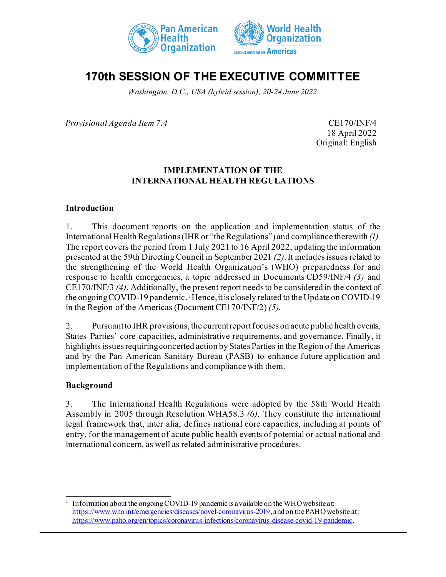



# **170th SESSION OF THE EXECUTIVE COMMITTEE**

*Washington, D.C., USA (hybrid session), 20-24 June 2022*

*Provisional Agenda Item 7.4* CE170/INF/4

18 April 2022 Original: English

#### **IMPLEMENTATION OF THE INTERNATIONAL HEALTH REGULATIONS**

#### **Introduction**

1. This document reports on the application and implementation status of the International Health Regulations (IHR or "the Regulations") and compliance therewith *(1)*. The report covers the period from 1 July 2021 to 16 April 2022, updating the information presented at the 59th Directing Council in September 2021 *(2)*. It includes issues related to the strengthening of the World Health Organization's (WHO) preparedness for and response to health emergencies, a topic addressed in Documents CD59/INF/4 *(3)* and CE170/INF/3 *(4)*. Additionally, the present report needs to be considered in the context of the ongoing COVID-[1](#page-0-0)9 pandemic.<sup>1</sup> Hence, it is closely related to the Update on COVID-19 in the Region of the Americas (Document CE170/INF/2) *(5).*

2. Pursuant to IHR provisions, the current report focuses on acute public health events, States Parties' core capacities, administrative requirements, and governance. Finally, it highlights issues requiring concerted action by States Parties in the Region of the Americas and by the Pan American Sanitary Bureau (PASB) to enhance future application and implementation of the Regulations and compliance with them.

#### **Background**

3. The International Health Regulations were adopted by the 58th World Health Assembly in 2005 through Resolution WHA58.3 *(6)*. They constitute the international legal framework that, inter alia, defines national core capacities, including at points of entry, for the management of acute public health events of potential or actual national and international concern, as well as related administrative procedures.

<span id="page-0-0"></span><sup>1</sup> Information about the ongoing COVID-19 pandemic is available on the WHO website at: <https://www.who.int/emergencies/diseases/novel-coronavirus-2019>, and on the PAHO website at: <https://www.paho.org/en/topics/coronavirus-infections/coronavirus-disease-covid-19-pandemic>.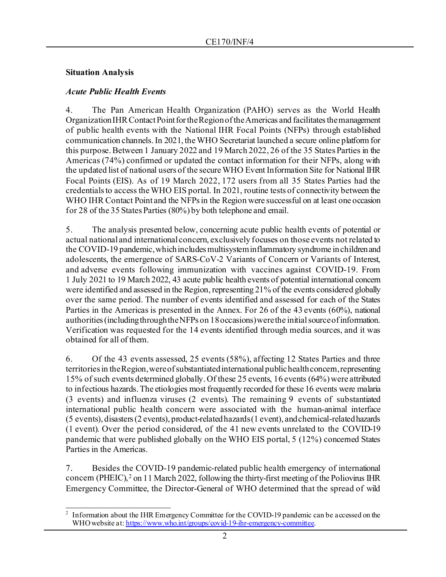#### **Situation Analysis**

### *Acute Public Health Events*

4. The Pan American Health Organization (PAHO) serves as the World Health Organization IHR Contact Point for the Region of the Americas and facilitates the management of public health events with the National IHR Focal Points (NFPs) through established communication channels. In 2021, the WHO Secretariat launched a secure online platform for this purpose. Between 1 January 2022 and 19 March 2022, 26 of the 35 States Parties in the Americas (74%) confirmed or updated the contact information for their NFPs, along with the updated list of national users of the secure WHO Event Information Site for National IHR Focal Points (EIS). As of 19 March 2022, 172 users from all 35 States Parties had the credentials to access the WHO EIS portal. In 2021, routine tests of connectivity between the WHO IHR Contact Point and the NFPs in the Region were successful on at least one occasion for 28 of the 35 States Parties (80%) by both telephone and email.

5. The analysis presented below, concerning acute public health events of potential or actual national and international concern, exclusively focuses on those events not related to the COVID-19 pandemic, which includes multisystem inflammatory syndrome in children and adolescents, the emergence of SARS-CoV-2 Variants of Concern or Variants of Interest, and adverse events following immunization with vaccines against COVID-19. From 1 July 2021 to 19 March 2022, 43 acute public health events of potential international concern were identified and assessed in the Region, representing 21% of the events considered globally over the same period. The number of events identified and assessed for each of the States Parties in the Americas is presented in the Annex. For 26 of the 43 events (60%), national authorities (including through the NFPs on 18 occasions) were the initial source of information. Verification was requested for the 14 events identified through media sources, and it was obtained for all of them.

6. Of the 43 events assessed, 25 events (58%), affecting 12 States Parties and three territories in the Region, were of substantiated international public health concern, representing 15% of such events determined globally. Of these 25 events, 16 events (64%) were attributed to infectious hazards. The etiologies most frequently recorded for these 16 events were malaria (3 events) and influenza viruses (2 events). The remaining 9 events of substantiated international public health concern were associated with the human-animal interface (5 events), disasters (2 events), product-related hazards (1 event), and chemical-related hazards (1 event). Over the period considered, of the 41 new events unrelated to the COVID-19 pandemic that were published globally on the WHO EIS portal, 5 (12%) concerned States Parties in the Americas.

7. Besides the COVID-19 pandemic-related public health emergency of international concern (PHEIC),<sup>[2](#page-1-0)</sup> on 11 March 2022, following the thirty-first meeting of the Poliovirus IHR Emergency Committee, the Director-General of WHO determined that the spread of wild

<span id="page-1-0"></span><sup>&</sup>lt;sup>2</sup> Information about the IHR Emergency Committee for the COVID-19 pandemic can be accessed on the WHO website at[: https://www.who.int/groups/covid-19-ihr-emergency-committee](https://www.who.int/groups/covid-19-ihr-emergency-committee).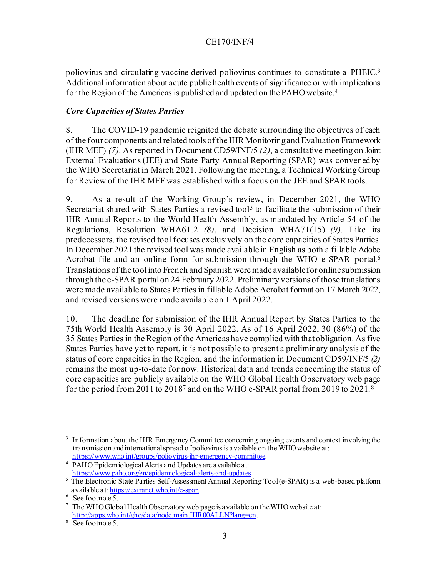poliovirus and circulating vaccine-derived poliovirus continues to constitute a PHEIC[.3](#page-2-0) Additional information about acute public health events of significance or with implications for the Region of the Americas is published and updated on the PAHO website.<sup>[4](#page-2-1)</sup>

# *Core Capacities of States Parties*

8. The COVID-19 pandemic reignited the debate surrounding the objectives of each of the four components and related tools of the IHR Monitoring and Evaluation Framework (IHR MEF) *(7)*. As reported in Document CD59/INF/5 *(2)*, a consultative meeting on Joint External Evaluations (JEE) and State Party Annual Reporting (SPAR) was convened by the WHO Secretariat in March 2021. Following the meeting, a Technical Working Group for Review of the IHR MEF was established with a focus on the JEE and SPAR tools.

9. As a result of the Working Group's review, in December 2021, the WHO Secretariat shared with States Parties a revised tool<sup>[5](#page-2-2)</sup> to facilitate the submission of their IHR Annual Reports to the World Health Assembly, as mandated by Article 54 of the Regulations, Resolution WHA61.2 *(8)*, and Decision WHA71(15) *(9).* Like its predecessors, the revised tool focuses exclusively on the core capacities of States Parties. In December 2021 the revised tool was made available in English as both a fillable Adobe Acrobat file and an online form for submission through the WHO e-SPAR portal.<sup>6</sup> Translations of the tool into French and Spanish were made available for online submission through the e-SPAR portal on 24 February 2022. Preliminary versions of those translations were made available to States Parties in fillable Adobe Acrobat format on 17 March 2022, and revised versions were made available on 1 April 2022.

10. The deadline for submission of the IHR Annual Report by States Parties to the 75th World Health Assembly is 30 April 2022. As of 16 April 2022, 30 (86%) of the 35 States Parties in the Region of the Americas have complied with that obligation. As five States Parties have yet to report, it is not possible to present a preliminary analysis of the status of core capacities in the Region, and the information in Document CD59/INF/5 *(2)* remains the most up-to-date for now. Historical data and trends concerning the status of core capacities are publicly available on the WHO Global Health Observatory web page for the period from 2011 to 2018[7](#page-2-4) and on the WHO e-SPAR portal from 2019 to 2021. [8](#page-2-5) 

<span id="page-2-0"></span>Information about the IHR Emergency Committee concerning ongoing events and context involving the transmission and international spread of poliovirus is a vailable on the WHO website at:<br>https://www.who.int/groups/poliovirus-ihr-emergency-committee.

<span id="page-2-1"></span><sup>&</sup>lt;sup>4</sup> PAHO Epidemiological Alerts and Updates are available at:<br>https://www.paho.org/en/epidemiological-alerts-and-updates.

<span id="page-2-2"></span> $\frac{1}{5}$  The Electronic State Parties Self-Assessment Annual Reporting Tool(e-SPAR) is a web-based platform available at: <u>https://extranet.who.int/e-spar.</u><br><sup>6</sup> See footnote 5.

<span id="page-2-4"></span><span id="page-2-3"></span> $7$  The WHO Global Health Observatory web page is a vailable on the WHO website at: <http://apps.who.int/gho/data/node.main.IHR00ALLN?lang=en>.

<span id="page-2-5"></span> $\overline{\text{See footnote 5}}$ .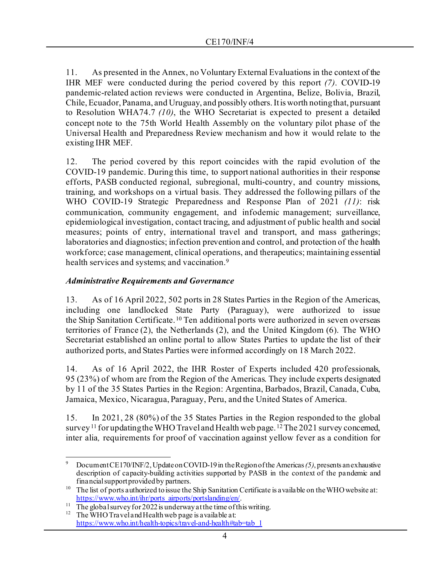11. As presented in the Annex, no Voluntary External Evaluations in the context of the IHR MEF were conducted during the period covered by this report *(7)*. COVID-19 pandemic-related action reviews were conducted in Argentina, Belize, Bolivia, Brazil, Chile, Ecuador, Panama, and Uruguay, and possibly others. It is worth noting that, pursuant to Resolution WHA74.7 *(10)*, the WHO Secretariat is expected to present a detailed concept note to the 75th World Health Assembly on the voluntary pilot phase of the Universal Health and Preparedness Review mechanism and how it would relate to the existing IHR MEF.

12. The period covered by this report coincides with the rapid evolution of the COVID-19 pandemic. During this time, to support national authorities in their response efforts, PASB conducted regional, subregional, multi-country, and country missions, training, and workshops on a virtual basis. They addressed the following pillars of the WHO COVID-19 Strategic Preparedness and Response Plan of 2021 *(11)*: risk communication, community engagement, and infodemic management; surveillance, epidemiological investigation, contact tracing, and adjustment of public health and social measures; points of entry, international travel and transport, and mass gatherings; laboratories and diagnostics; infection prevention and control, and protection of the health workforce; case management, clinical operations, and therapeutics; maintaining essential health services and systems; and vaccination.<sup>9</sup>

#### *Administrative Requirements and Governance*

13. As of 16 April 2022, 502 ports in 28 States Parties in the Region of the Americas, including one landlocked State Party (Paraguay), were authorized to issue the Ship Sanitation Certificate.<sup>[10](#page-3-1)</sup> Ten additional ports were authorized in seven overseas territories of France (2), the Netherlands (2), and the United Kingdom (6). The WHO Secretariat established an online portal to allow States Parties to update the list of their authorized ports, and States Parties were informed accordingly on 18 March 2022.

14. As of 16 April 2022, the IHR Roster of Experts included 420 professionals, 95 (23%) of whom are from the Region of the Americas. They include experts designated by 11 of the 35 States Parties in the Region: Argentina, Barbados, Brazil, Canada, Cuba, Jamaica, Mexico, Nicaragua, Paraguay, Peru, and the United States of America.

15. In 2021, 28 (80%) of the 35 States Parties in the Region responded to the global survey<sup>[11](#page-3-2)</sup> for updating the WHO Travel and Health web page. <sup>[12](#page-3-3)</sup> The 2021 survey concerned, inter alia*,* requirements for proof of vaccination against yellow fever as a condition for

<span id="page-3-0"></span><sup>9</sup> Document CE170/INF/2,Update on COVID-19 in the Region of the Americas *(5)*, presents an exhaustive description of capacity-building activities supported by PASB in the context of the pandemic and financial support provided by partners.

<span id="page-3-1"></span><sup>&</sup>lt;sup>10</sup> The list of ports authorized to issue the Ship Sanitation Certificate is a vailable on the WHO website at:<br>https://www.who.int/ihr/ports airports/portslanding/en/.

<span id="page-3-3"></span><span id="page-3-2"></span><sup>&</sup>lt;sup>11</sup> The global survey for 2022 is underway at the time of this writing.<br><sup>12</sup> The WHO Travel and Health web page is a vailable at:

[https://www.who.int/health-topics/travel-and-health#tab=tab\\_1](https://www.who.int/health-topics/travel-and-health#tab=tab_1)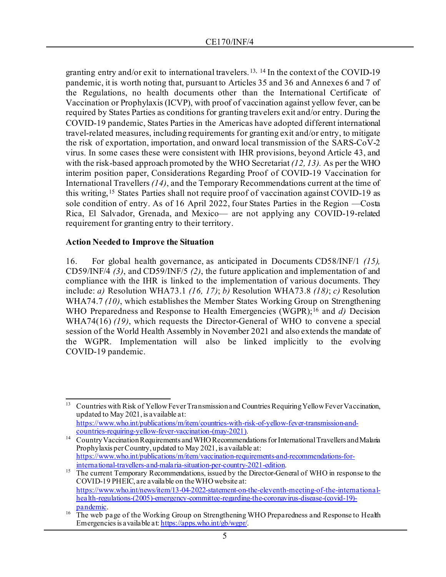granting entry and/or exit to international travelers.[13](#page-4-0), [14](#page-4-1) In the context of the COVID-19 pandemic, it is worth noting that, pursuant to Articles 35 and 36 and Annexes 6 and 7 of the Regulations, no health documents other than the International Certificate of Vaccination or Prophylaxis (ICVP), with proof of vaccination against yellow fever, can be required by States Parties as conditions for granting travelers exit and/or entry. During the COVID-19 pandemic, States Parties in the Americas have adopted different international travel-related measures, including requirements for granting exit and/or entry, to mitigate the risk of exportation, importation, and onward local transmission of the SARS-CoV-2 virus. In some cases these were consistent with IHR provisions, beyond Article 43, and with the risk-based approach promoted by the WHO Secretariat *(12, 13).* As per the WHO interim position paper, Considerations Regarding Proof of COVID-19 Vaccination for International Travellers *(14)*, and the Temporary Recommendations current at the time of this writing,[15](#page-4-2) States Parties shall not require proof of vaccination against COVID-19 as sole condition of entry. As of 16 April 2022, four States Parties in the Region —Costa Rica, El Salvador, Grenada, and Mexico— are not applying any COVID-19-related requirement for granting entry to their territory.

#### **Action Needed to Improve the Situation**

16. For global health governance, as anticipated in Documents CD58/INF/1 *(15),* CD59/INF/4 *(3)*, and CD59/INF/5 *(2)*, the future application and implementation of and compliance with the IHR is linked to the implementation of various documents. They include: *a)* Resolution WHA73.1 *(16, 17)*; *b)* Resolution WHA73.8 *(18)*; *c)* Resolution WHA74.7 *(10)*, which establishes the Member States Working Group on Strengthening WHO Preparedness and Response to Health Emergencies (WGPR);<sup>[16](#page-4-3)</sup> and *d*) Decision WHA74(16) *(19)*, which requests the Director-General of WHO to convene a special session of the World Health Assembly in November 2021 and also extends the mandate of the WGPR. Implementation will also be linked implicitly to the evolving COVID-19 pandemic.

<span id="page-4-0"></span><sup>&</sup>lt;sup>13</sup> Countries with Risk of Yellow Fever Transmission and Countries Requiring Yellow Fever Vaccination, updated to May 2021, is available at: [https://www.who.int/publications/m/item/countries-with-risk-of-yellow-fever-transmission-and](https://www.who.int/publications/m/item/countries-with-risk-of-yellow-fever-transmission-and-countries-requiring-yellow-fever-vaccination-(may-2021))[countries-requiring-yellow-fever-vaccination-\(may-2021\)](https://www.who.int/publications/m/item/countries-with-risk-of-yellow-fever-transmission-and-countries-requiring-yellow-fever-vaccination-(may-2021)).

<span id="page-4-1"></span><sup>&</sup>lt;sup>14</sup> Country Vaccination Requirements and WHO Recommendations for International Travellers and Malaria Prophylaxis per Country, updated to May 2021, is available at: https://www.who.int/publications/m/item/vaccination-requirements-and-recommendations-for-<br>international-travellers-and-malaria-situation-per-country-2021-edition.

<span id="page-4-2"></span><sup>&</sup>lt;sup>15</sup> The current Temporary Recommendations, issued by the Director-General of WHO in response to the COVID-19 PHEIC, are available on the WHO website at: [https://www.who.int/news/item/13-04-2022-statement-on-the-eleventh-meeting-of-the-international](https://www.who.int/news/item/13-04-2022-statement-on-the-eleventh-meeting-of-the-international-health-regulations-(2005)-emergency-committee-regarding-the-coronavirus-disease-(covid-19)-pandemic)[health-regulations-\(2005\)-emergency-committee-regarding-the-coronavirus-disease-\(covid-19\)](https://www.who.int/news/item/13-04-2022-statement-on-the-eleventh-meeting-of-the-international-health-regulations-(2005)-emergency-committee-regarding-the-coronavirus-disease-(covid-19)-pandemic) [pandemic](https://www.who.int/news/item/13-04-2022-statement-on-the-eleventh-meeting-of-the-international-health-regulations-(2005)-emergency-committee-regarding-the-coronavirus-disease-(covid-19)-pandemic).<br><sup>[16](https://www.who.int/news/item/13-04-2022-statement-on-the-eleventh-meeting-of-the-international-health-regulations-(2005)-emergency-committee-regarding-the-coronavirus-disease-(covid-19)-pandemic)</sup> The web page of the Working Group on Strengthening WHO Preparedness and Response to Health

<span id="page-4-3"></span>Emergencies is available a[t: https://apps.who.int/gb/wgpr/](https://apps.who.int/gb/wgpr/).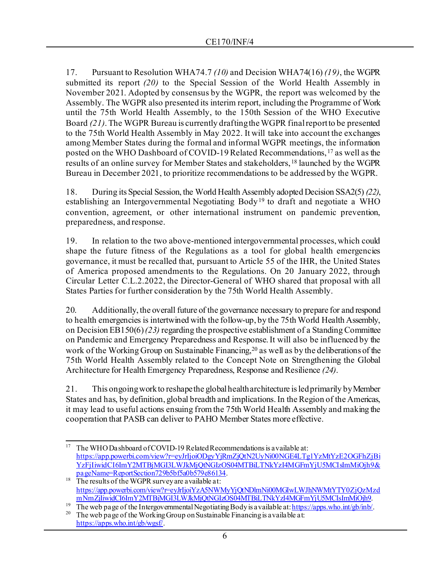17. Pursuant to Resolution WHA74.7 *(10)* and Decision WHA74(16) *(19)*, the WGPR submitted its report *(20)* to the Special Session of the World Health Assembly in November 2021. Adopted by consensus by the WGPR, the report was welcomed by the Assembly. The WGPR also presented its interim report, including the Programme of Work until the 75th World Health Assembly, to the 150th Session of the WHO Executive Board *(21)*. The WGPR Bureau is currently drafting the WGPR final report to be presented to the 75th World Health Assembly in May 2022. It will take into account the exchanges among Member States during the formal and informal WGPR meetings, the information posted on the WHO Dashboard of COVID-19 Related Recommendations, <sup>[17](#page-5-0)</sup> as well as the results of an online survey for Member States and stakeholders, [18](#page-5-1) launched by the WGPR Bureau in December 2021, to prioritize recommendations to be addressed by the WGPR.

18. During its Special Session, the World Health Assembly adopted Decision SSA2(5) *(22)*, establishing an Intergovernmental Negotiating Body<sup>[19](#page-5-2)</sup> to draft and negotiate a WHO convention, agreement, or other international instrument on pandemic prevention, preparedness, and response.

19. In relation to the two above-mentioned intergovernmental processes, which could shape the future fitness of the Regulations as a tool for global health emergencies governance, it must be recalled that, pursuant to Article 55 of the IHR, the United States of America proposed amendments to the Regulations. On 20 January 2022, through Circular Letter C.L.2.2022, the Director-General of WHO shared that proposal with all States Parties for further consideration by the 75th World Health Assembly.

20. Additionally, the overall future of the governance necessary to prepare for and respond to health emergencies is intertwined with the follow-up, by the 75th World Health Assembly, on Decision EB150(6) *(23)* regarding the prospective establishment of a Standing Committee on Pandemic and Emergency Preparedness and Response. It will also be influenced by the work of the Working Group on Sustainable Financing,<sup>[20](#page-5-3)</sup> as well as by the deliberations of the 75th World Health Assembly related to the Concept Note on Strengthening the Global Architecture for Health Emergency Preparedness, Response and Resilience *(24)*.

21. This ongoing work to reshape the global health architecture is led primarily by Member States and has, by definition, global breadth and implications. In the Region of the Americas, it may lead to useful actions ensuing from the 75th World Health Assembly and making the cooperation that PASB can deliver to PAHO Member States more effective.

<span id="page-5-0"></span><sup>&</sup>lt;sup>17</sup> The WHO Dashboard of COVID-19 Related Recommendations is a vailable at: [https://app.powerbi.com/view?r=eyJrIjoiODgyYjRmZjQtN2UyNi00NGE4LTg1YzMtYzE2OGFhZjBi](https://app.powerbi.com/view?r=eyJrIjoiODgyYjRmZjQtN2UyNi00NGE4LTg1YzMtYzE2OGFhZjBiYzFjIiwidCI6ImY2MTBjMGI3LWJkMjQtNGIzOS04MTBiLTNkYzI4MGFmYjU5MCIsImMiOjh9&pageName=ReportSection729b5bf5a0b579e86134) [YzFjIiwidCI6ImY2MTBjMGI3LWJkMjQtNGIzOS04MTBiLTNkYzI4MGFmYjU5MCIsImMiOjh9&](https://app.powerbi.com/view?r=eyJrIjoiODgyYjRmZjQtN2UyNi00NGE4LTg1YzMtYzE2OGFhZjBiYzFjIiwidCI6ImY2MTBjMGI3LWJkMjQtNGIzOS04MTBiLTNkYzI4MGFmYjU5MCIsImMiOjh9&pageName=ReportSection729b5bf5a0b579e86134) [pageName=ReportSection729b5bf5a0b579e86134](https://app.powerbi.com/view?r=eyJrIjoiODgyYjRmZjQtN2UyNi00NGE4LTg1YzMtYzE2OGFhZjBiYzFjIiwidCI6ImY2MTBjMGI3LWJkMjQtNGIzOS04MTBiLTNkYzI4MGFmYjU5MCIsImMiOjh9&pageName=ReportSection729b5bf5a0b579e86134).<br>The results of the WGPR survey are a vailable at:

<span id="page-5-1"></span>[https://app.powerbi.com/view?r=eyJrIjoiYzA5NWMyYjQtNDlmNi00MGIwLWJhNWMtYTY0ZjQzMzd](https://app.powerbi.com/view?r=eyJrIjoiYzA5NWMyYjQtNDlmNi00MGIwLWJhNWMtYTY0ZjQzMzdmNmZjIiwidCI6ImY2MTBjMGI3LWJkMjQtNGIzOS04MTBiLTNkYzI4MGFmYjU5MCIsImMiOjh9) [mNmZjIiwidCI6ImY2MTBjMGI3LWJkMjQtNGIzOS04MTBiLTNkYzI4MGFmYjU5MCIsImMiOjh9](https://app.powerbi.com/view?r=eyJrIjoiYzA5NWMyYjQtNDlmNi00MGIwLWJhNWMtYTY0ZjQzMzdmNmZjIiwidCI6ImY2MTBjMGI3LWJkMjQtNGIzOS04MTBiLTNkYzI4MGFmYjU5MCIsImMiOjh9).

<span id="page-5-3"></span><span id="page-5-2"></span><sup>&</sup>lt;sup>19</sup> The web page of the Intergovernmental Negotiating Body is a vailable at[: https://apps.who.int/gb/inb/](https://apps.who.int/gb/inb/).<br><sup>20</sup> The web page of the Working Group on Sustainable Financing is a vailable at:

<https://apps.who.int/gb/wgsf/>.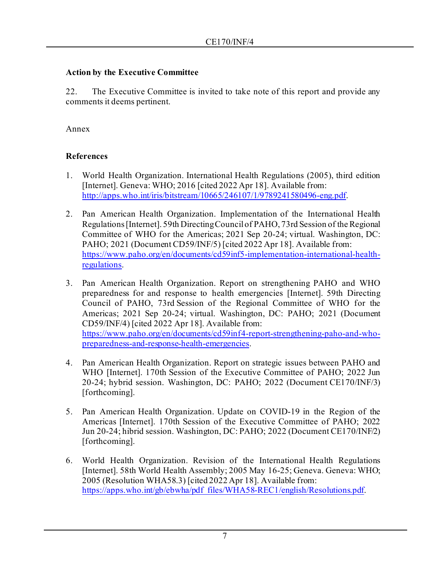# **Action by the Executive Committee**

22. The Executive Committee is invited to take note of this report and provide any comments it deems pertinent.

#### Annex

# **References**

- 1. World Health Organization. International Health Regulations (2005), third edition [Internet]. Geneva: WHO; 2016 [cited 2022 Apr 18]. Available from: <http://apps.who.int/iris/bitstream/10665/246107/1/9789241580496-eng.pdf>.
- 2. Pan American Health Organization. Implementation of the International Health Regulations [Internet]. 59th Directing Council of PAHO, 73rd Session of the Regional Committee of WHO for the Americas; 2021 Sep 20-24; virtual. Washington, DC: PAHO; 2021 (Document CD59/INF/5) [cited 2022 Apr 18]. Available from: [https://www.paho.org/en/documents/cd59inf5-implementation-international-health](https://www.paho.org/en/documents/cd59inf5-implementation-international-health-regulations)[regulations.](https://www.paho.org/en/documents/cd59inf5-implementation-international-health-regulations)
- 3. Pan American Health Organization. Report on strengthening PAHO and WHO preparedness for and response to health emergencies [Internet]. 59th Directing Council of PAHO, 73rd Session of the Regional Committee of WHO for the Americas; 2021 Sep 20-24; virtual. Washington, DC: PAHO; 2021 (Document CD59/INF/4) [cited 2022 Apr 18]. Available from: [https://www.paho.org/en/documents/cd59inf4-report-strengthening-paho-and-who](https://www.paho.org/en/documents/cd59inf4-report-strengthening-paho-and-who-preparedness-and-response-health-emergencies)[preparedness-and-response-health-emergencies](https://www.paho.org/en/documents/cd59inf4-report-strengthening-paho-and-who-preparedness-and-response-health-emergencies).
- 4. Pan American Health Organization. Report on strategic issues between PAHO and WHO [Internet]. 170th Session of the Executive Committee of PAHO; 2022 Jun 20-24; hybrid session. Washington, DC: PAHO; 2022 (Document CE170/INF/3) [forthcoming].
- 5. Pan American Health Organization. Update on COVID-19 in the Region of the Americas [Internet]. 170th Session of the Executive Committee of PAHO; 2022 Jun 20-24; hibrid session. Washington, DC: PAHO; 2022 (Document CE170/INF/2) [forthcoming].
- 6. World Health Organization. Revision of the International Health Regulations [Internet]. 58th World Health Assembly; 2005 May 16-25; Geneva. Geneva: WHO; 2005 (Resolution WHA58.3) [cited 2022 Apr 18]. Available from: [https://apps.who.int/gb/ebwha/pdf\\_files/WHA58-REC1/english/Resolutions.pdf](https://apps.who.int/gb/ebwha/pdf_files/WHA58-REC1/english/Resolutions.pdf).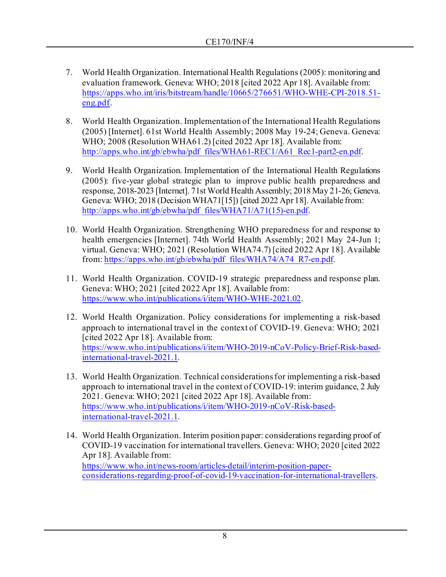- 7. World Health Organization. International Health Regulations (2005): monitoring and evaluation framework. Geneva: WHO; 2018 [cited 2022 Apr 18]. Available from: [https://apps.who.int/iris/bitstream/handle/10665/276651/WHO-WHE-CPI-2018.51](https://apps.who.int/iris/bitstream/handle/10665/276651/WHO-WHE-CPI-2018.51-eng.pdf) [eng.pdf](https://apps.who.int/iris/bitstream/handle/10665/276651/WHO-WHE-CPI-2018.51-eng.pdf).
- 8. World Health Organization. Implementation of the International Health Regulations (2005) [Internet]. 61st World Health Assembly; 2008 May 19-24; Geneva. Geneva: WHO; 2008 (Resolution WHA61.2) [cited 2022 Apr 18]. Available from: [http://apps.who.int/gb/ebwha/pdf\\_files/WHA61-REC1/A61\\_Rec1-part2-en.pdf](http://apps.who.int/gb/ebwha/pdf_files/WHA61-REC1/A61_Rec1-part2-en.pdf).
- 9. World Health Organization. Implementation of the International Health Regulations (2005): five-year global strategic plan to improve public health preparedness and response, 2018-2023 [Internet]. 71st World Health Assembly; 2018 May 21-26; Geneva. Geneva: WHO; 2018 (Decision WHA71[15]) [cited 2022 Apr 18]. Available from: [http://apps.who.int/gb/ebwha/pdf\\_files/WHA71/A71\(15\)-en.pdf](http://apps.who.int/gb/ebwha/pdf_files/WHA71/A71(15)-en.pdf).
- 10. World Health Organization. Strengthening WHO preparedness for and response to health emergencies [Internet]. 74th World Health Assembly; 2021 May 24-Jun 1; virtual. Geneva: WHO; 2021 (Resolution WHA74.7) [cited 2022 Apr 18]. Available from[: https://apps.who.int/gb/ebwha/pdf\\_files/WHA74/A74\\_R7-en.pdf](https://apps.who.int/gb/ebwha/pdf_files/WHA74/A74_R7-en.pdf).
- 11. World Health Organization. COVID-19 strategic preparedness and response plan. Geneva: WHO; 2021 [cited 2022 Apr 18]. Available from: <https://www.who.int/publications/i/item/WHO-WHE-2021.02>.
- 12. World Health Organization. Policy considerations for implementing a risk-based approach to international travel in the context of COVID-19. Geneva: WHO; 2021 [cited 2022 Apr 18]. Available from: [https://www.who.int/publications/i/item/WHO-2019-nCoV-Policy-Brief-Risk-based](https://www.who.int/publications/i/item/WHO-2019-nCoV-Policy-Brief-Risk-based-international-travel-2021.1)[international-travel-2021.1.](https://www.who.int/publications/i/item/WHO-2019-nCoV-Policy-Brief-Risk-based-international-travel-2021.1)
- 13. World Health Organization. Technical considerations for implementing a risk-based approach to international travel in the context of COVID-19: interim guidance, 2 July 2021. Geneva: WHO; 2021 [cited 2022 Apr 18]. Available from: [https://www.who.int/publications/i/item/WHO-2019-nCoV-Risk-based](https://www.who.int/publications/i/item/WHO-2019-nCoV-Risk-based-international-travel-2021.1)[international-travel-2021.1.](https://www.who.int/publications/i/item/WHO-2019-nCoV-Risk-based-international-travel-2021.1)
- 14. World Health Organization. Interim position paper: considerations regarding proof of COVID-19 vaccination for international travellers. Geneva: WHO; 2020 [cited 2022 Apr 18]. Available from: [https://www.who.int/news-room/articles-detail/interim-position-paper](https://www.who.int/news-room/articles-detail/interim-position-paper-considerations-regarding-proof-of-covid-19-vaccination-for-international-travellers)[considerations-regarding-proof-of-covid-19-vaccination-for-international-travellers](https://www.who.int/news-room/articles-detail/interim-position-paper-considerations-regarding-proof-of-covid-19-vaccination-for-international-travellers).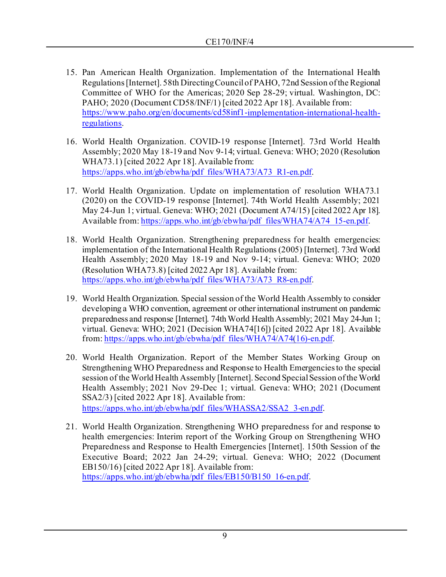- 15. Pan American Health Organization. Implementation of the International Health Regulations [Internet]. 58th Directing Council of PAHO, 72nd Session of the Regional Committee of WHO for the Americas; 2020 Sep 28-29; virtual. Washington, DC: PAHO; 2020 (Document CD58/INF/1) [cited 2022 Apr 18]. Available from: [https://www.paho.org/en/documents/cd58inf1-implementation-international-health](https://www.paho.org/en/documents/cd58inf1-implementation-international-health-regulations)[regulations.](https://www.paho.org/en/documents/cd58inf1-implementation-international-health-regulations)
- 16. World Health Organization. COVID-19 response [Internet]. 73rd World Health Assembly; 2020 May 18-19 and Nov 9-14; virtual. Geneva: WHO; 2020 (Resolution WHA73.1) [cited 2022 Apr 18]. Available from: [https://apps.who.int/gb/ebwha/pdf\\_files/WHA73/A73\\_R1-en.pdf](https://apps.who.int/gb/ebwha/pdf_files/WHA73/A73_R1-en.pdf).
- 17. World Health Organization. Update on implementation of resolution WHA73.1 (2020) on the COVID-19 response [Internet]. 74th World Health Assembly; 2021 May 24-Jun 1; virtual. Geneva: WHO; 2021 (Document A74/15) [cited 2022 Apr 18]. Available from[: https://apps.who.int/gb/ebwha/pdf\\_files/WHA74/A74\\_15-en.pdf](https://apps.who.int/gb/ebwha/pdf_files/WHA74/A74_15-en.pdf).
- 18. World Health Organization. Strengthening preparedness for health emergencies: implementation of the International Health Regulations (2005) [Internet]. 73rd World Health Assembly; 2020 May 18-19 and Nov 9-14; virtual. Geneva: WHO; 2020 (Resolution WHA73.8) [cited 2022 Apr 18]. Available from: [https://apps.who.int/gb/ebwha/pdf\\_files/WHA73/A73\\_R8-en.pdf](https://apps.who.int/gb/ebwha/pdf_files/WHA73/A73_R8-en.pdf).
- 19. World Health Organization. Special session of the World Health Assembly to consider developing a WHO convention, agreement or other international instrument on pandemic preparedness and response [Internet]. 74th World Health Assembly; 2021 May 24-Jun 1; virtual. Geneva: WHO; 2021 (Decision WHA74[16]) [cited 2022 Apr 18]. Available from[: https://apps.who.int/gb/ebwha/pdf\\_files/WHA74/A74\(16\)-en.pdf](https://apps.who.int/gb/ebwha/pdf_files/WHA74/A74(16)-en.pdf).
- 20. World Health Organization. Report of the Member States Working Group on Strengthening WHO Preparedness and Response to Health Emergencies to the special session of the World Health Assembly [Internet]. Second Special Session of the World Health Assembly; 2021 Nov 29-Dec 1; virtual. Geneva: WHO; 2021 (Document SSA2/3) [cited 2022 Apr 18]. Available from: [https://apps.who.int/gb/ebwha/pdf\\_files/WHASSA2/SSA2\\_3-en.pdf](https://apps.who.int/gb/ebwha/pdf_files/WHASSA2/SSA2_3-en.pdf).
- 21. World Health Organization. Strengthening WHO preparedness for and response to health emergencies: Interim report of the Working Group on Strengthening WHO Preparedness and Response to Health Emergencies [Internet]. 150th Session of the Executive Board; 2022 Jan 24-29; virtual. Geneva: WHO; 2022 (Document EB150/16) [cited 2022 Apr 18]. Available from: [https://apps.who.int/gb/ebwha/pdf\\_files/EB150/B150\\_16-en.pdf](https://apps.who.int/gb/ebwha/pdf_files/EB150/B150_16-en.pdf).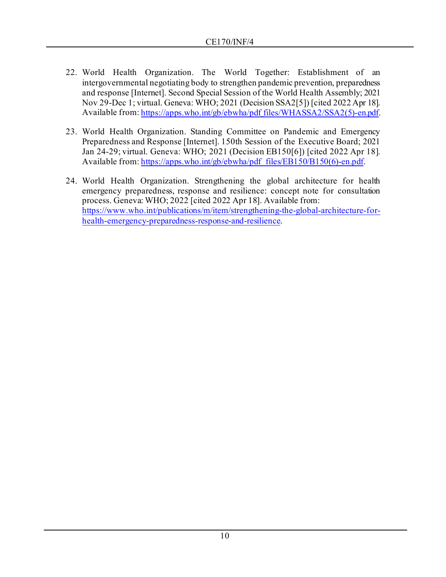- 22. World Health Organization. The World Together: Establishment of an intergovernmental negotiating body to strengthen pandemic prevention, preparedness and response [Internet]. Second Special Session of the World Health Assembly; 2021 Nov 29-Dec 1; virtual. Geneva: WHO; 2021 (Decision SSA2[5]) [cited 2022 Apr 18]. Available from: https://apps.who.int/gb/ebwha/pdf files/WHASSA2/SSA2(5)-en.pdf.
- 23. World Health Organization. Standing Committee on Pandemic and Emergency Preparedness and Response [Internet]. 150th Session of the Executive Board; 2021 Jan 24-29; virtual. Geneva: WHO; 2021 (Decision EB150[6]) [cited 2022 Apr 18]. Available from[: https://apps.who.int/gb/ebwha/pdf\\_files/EB150/B150\(6\)-en.pdf](https://apps.who.int/gb/ebwha/pdf_files/EB150/B150(6)-en.pdf).
- 24. World Health Organization. Strengthening the global architecture for health emergency preparedness, response and resilience: concept note for consultation process. Geneva: WHO; 2022 [cited 2022 Apr 18]. Available from: [https://www.who.int/publications/m/item/strengthening-the-global-architecture-for](https://www.who.int/publications/m/item/strengthening-the-global-architecture-for-health-emergency-preparedness-response-and-resilience)[health-emergency-preparedness-response-and-resilience.](https://www.who.int/publications/m/item/strengthening-the-global-architecture-for-health-emergency-preparedness-response-and-resilience)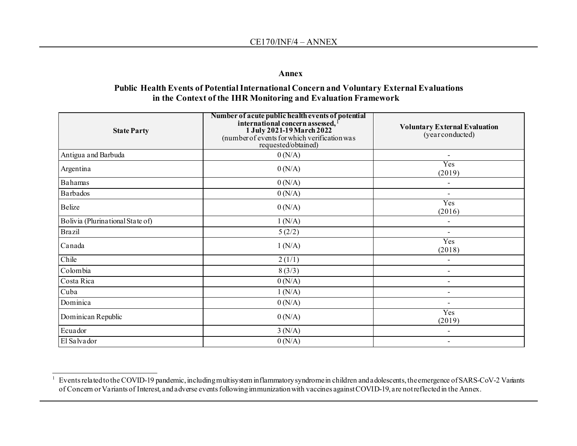#### <span id="page-10-0"></span>**Annex**

#### **Public Health Events of Potential International Concern and Voluntary External Evaluations in the Context of the IHR Monitoring and Evaluation Framework**

| <b>State Party</b>               | Number of acute public health events of potential<br>international concern assessed, 1<br>1 July 2021-19 March 2022<br>(number of events for which verification was<br>requested/obtained) | <b>Voluntary External Evaluation</b><br>(year conducted) |
|----------------------------------|--------------------------------------------------------------------------------------------------------------------------------------------------------------------------------------------|----------------------------------------------------------|
| Antigua and Barbuda              | 0(N/A)                                                                                                                                                                                     |                                                          |
| Argentina                        | 0(N/A)                                                                                                                                                                                     | Yes<br>(2019)                                            |
| Bahamas                          | 0(N/A)                                                                                                                                                                                     |                                                          |
| Barbados                         | 0(N/A)                                                                                                                                                                                     | $\overline{\phantom{0}}$                                 |
| Belize                           | 0(N/A)                                                                                                                                                                                     | Yes<br>(2016)                                            |
| Bolivia (Plurinational State of) | 1(N/A)                                                                                                                                                                                     |                                                          |
| <b>Brazil</b>                    | 5(2/2)                                                                                                                                                                                     | $\overline{\phantom{0}}$                                 |
| Canada                           | 1(N/A)                                                                                                                                                                                     | Yes<br>(2018)                                            |
| Chile                            | 2(1/1)                                                                                                                                                                                     |                                                          |
| Colombia                         | 8(3/3)                                                                                                                                                                                     |                                                          |
| Costa Rica                       | 0(N/A)                                                                                                                                                                                     |                                                          |
| Cuba                             | 1(N/A)                                                                                                                                                                                     |                                                          |
| Dominica                         | 0(N/A)                                                                                                                                                                                     |                                                          |
| Dominican Republic               | 0(N/A)                                                                                                                                                                                     | Yes<br>(2019)                                            |
| Ecuador                          | 3(N/A)                                                                                                                                                                                     |                                                          |
| El Salvador                      | 0(N/A)                                                                                                                                                                                     |                                                          |

<sup>1</sup> Events related to the COVID-19 pandemic, including multisystem inflammatory syndrome in children and adolescents, the emergence of SARS-CoV-2 Variants of Concern or Variants of Interest, and adverse events following immunization with vaccines against COVID-19, are not reflected in the Annex.